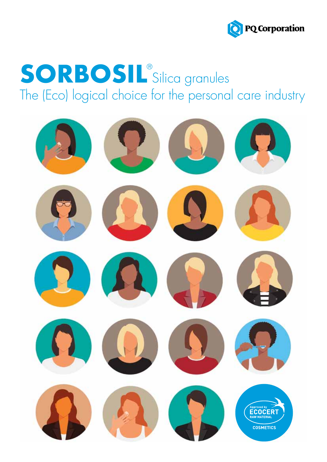

# **SORBOSIL**<sup>®</sup>Silica granules The (Eco) logical choice for the personal care industry

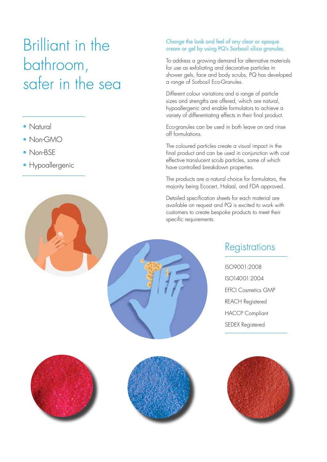## Brilliant in the bathroom, safer in the sea

- Natural
- Non-GMO
- Non-BSE
- Hypoallergenic

### Change the look and feel of any clear or opaque cream or gel by using PQ's Sorbosil silica granules.

To address a growing demand for alternative materials for use as exfoliating and decorative particles in shower gels, face and body scrubs, PQ has developed a range of Sorbosil Eco-Granules.

Different colour variations and a range of particle sizes and strengths are offered, which are natural, hypoallergenic and enable formulators to achieve a variety of differentiating effects in their final product.

Eco-granules can be used in both leave on and rinse off formulations.

The coloured particles create a visual impact in the final product and can be used in conjunction with cost effective translucent scrub particles, some of which have controlled breakdown properties.

The products are a natural choice for formulators, the majority being Ecocert, Halaal, and FDA approved.

Detailed specification sheets for each material are available on request and PQ is excited to work with customers to create bespoke products to meet their specific requirements.

### Registrations

ISO9001:2008 ISO14001:2004 EFfCI Cosmetics GMP REACH Registered HACCP Compliant SEDEX Registered





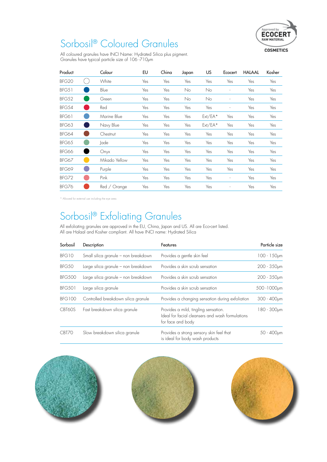

## Sorbosil® Coloured Granules

All coloured granules have INCI Name: Hydrated Silica plus pigment. Granules have typical particle size of 106 -710μm

| Product           | Colour          | EU  | China | Japan | US        | Ecocert                  | <b>HALAAL</b> | Kosher |
|-------------------|-----------------|-----|-------|-------|-----------|--------------------------|---------------|--------|
| BFG <sub>20</sub> | White           | Yes | Yes   | Yes   | Yes       | Yes                      | Yes           | Yes    |
| BFG51             | Blue            | Yes | Yes   | No    | No        | $\overline{\phantom{a}}$ | Yes           | Yes    |
| BFG52             | Green           | Yes | Yes   | No    | No        |                          | Yes           | Yes    |
| BFG54             | Red             | Yes | Yes   | Yes   | Yes       |                          | Yes           | Yes    |
| BFG61             | Marine Blue     | Yes | Yes   | Yes   | $Ext/EA*$ | Yes                      | Yes           | Yes    |
| BFG63             | Navy Blue       | Yes | Yes   | Yes   | $Ext/EA*$ | Yes                      | Yes           | Yes    |
| BFG64             | Chestnut        | Yes | Yes   | Yes   | Yes       | Yes                      | Yes           | Yes    |
| <b>BFG65</b>      | Jade            | Yes | Yes   | Yes   | Yes       | Yes                      | Yes           | Yes    |
| BFG66             | On <sub>Y</sub> | Yes | Yes   | Yes   | Yes       | Yes                      | Yes           | Yes    |
| BFG67             | Mikado Yellow   | Yes | Yes   | Yes   | Yes       | Yes                      | Yes           | Yes    |
| BFG69             | Purple          | Yes | Yes   | Yes   | Yes       | Yes                      | Yes           | Yes    |
| BFG72             | Pink            | Yes | Yes   | Yes   | Yes       | $\overline{\phantom{a}}$ | Yes           | Yes    |
| BFG76             | Red / Orange    | Yes | Yes   | Yes   | Yes       |                          | Yes           | Yes    |

\* Allowed for external use including the eye area.

## Sorbosil® Exfoliating Granules

All exfoliating granules are approved in the EU, China, Japan and US. All are Eco-cert listed. All are Halaal and Kosher compliant. All have INCI name: Hydrated Silica

| Sorbosil      | Description                          | Features                                                                                                      | Particle size     |
|---------------|--------------------------------------|---------------------------------------------------------------------------------------------------------------|-------------------|
| BFG10         | Small silica granule - non breakdown | Provides a gentle skin feel                                                                                   | $100 - 150 \mu m$ |
| BFG50         | Large silica granule - non breakdown | Provides a skin scrub sensation                                                                               | $200 - 350$ µm    |
| <b>BFG500</b> | Large silica granule - non breakdown | Provides a skin scrub sensation                                                                               | 200 - 350pm       |
| <b>BFG501</b> | Large silica granule                 | Provides a skin scrub sensation                                                                               | 500 - 1000pm      |
| <b>BFG100</b> | Controlled breakdown silica granule  | Provides a changing sensation during exfoliation                                                              | 300 - 400pm       |
| CBT60S        | Fast breakdown silica granule        | Provides a mild, tingling sensation.<br>Ideal for facial cleansers and wash formulations<br>for face and body | 180 - 300µm       |
| CBT70         | Slow breakdown silica granule        | Provides a strong sensory skin feel that<br>is ideal for body wash products                                   | $50 - 400 \mu m$  |